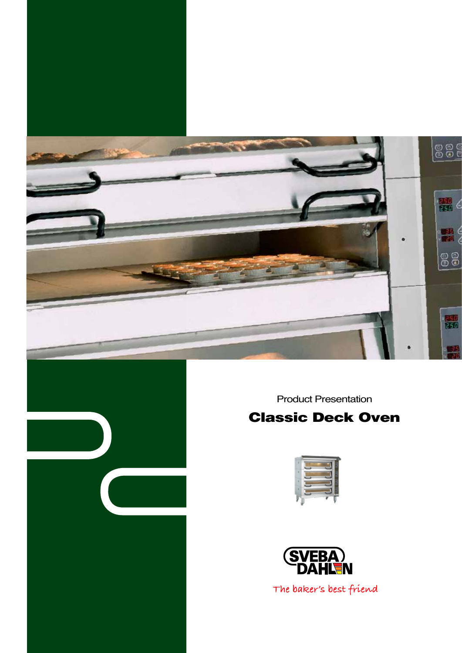

Product Presentation

## Classic Deck Oven





The baker's best friend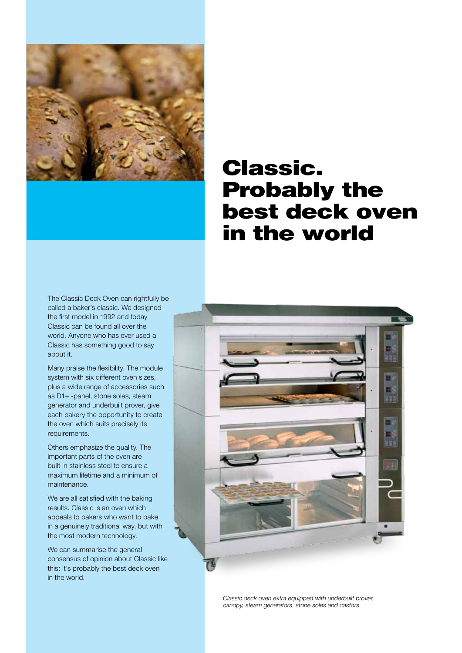

# Classic. Probably the best deck oven in the world

The Classic Deck Oven can rightfully be called a baker's classic. We designed the first model in 1992 and today Classic can be found all over the world. Anyone who has ever used a Classic has something good to say about it.

Many praise the flexibility. The module system with six different oven sizes, plus a wide range of accessories such as D1+ -panel, stone soles, steam generator and underbuilt prover, give each bakery the opportunity to create the oven which suits precisely its requirements.

Others emphasize the quality. The important parts of the oven are built in stainless steel to ensure a maximum lifetime and a minimum of maintenance.

We are all satisfied with the baking results. Classic is an oven which appeals to bakers who want to bake in a genuinely traditional way, but with the most modern technology.

We can summarise the general consensus of opinion about Classic like this: it's probably the best deck oven in the world.



Classic deck oven extra equipped with underbuilt prover, canopy, steam generators, stone soles and castors.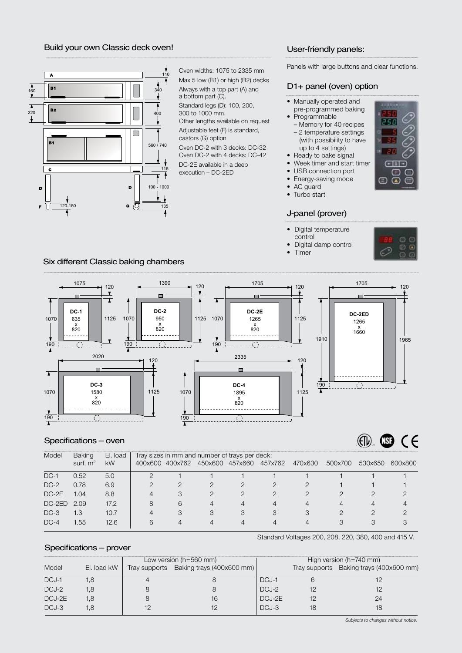#### Build your own Classic deck oven!



Oven widths: 1075 to 2335 mm Max 5 low (B1) or high (B2) decks Always with a top part (A) and a bottom part (C). Standard legs (D): 100, 200, 300 to 1000 mm. Other lengths available on request Adjustable feet (F) is standard, castors (G) option Oven DC-2 with 3 decks: DC-32 Oven DC-2 with 4 decks: DC-42 DC-2E available in a deep execution – DC-2ED

#### User-friendly panels:

Panels with large buttons and clear functions.

#### D1+ panel (oven) option

- Manually operated and
- pre-programmed baking
- Programmable – Memory for 40 recipes
- 2 temperature settings
- (with possibility to have up to 4 settings)
- Ready to bake signal
- Week timer and start timer
- USB connection port
- Energy-saving mode
- AC guard
- Turbo start

#### J-panel (prover)

- Digital temperature
- control
- Digital damp control • Timer
- 

#### Six different Classic baking chambers



#### Specifications – oven

 $\left(\mathrm{f} \right)$  $\circledR$   $\circ$   $\in$ 

| Model    | <b>Baking</b> | El. load  | Tray sizes in mm and number of trays per deck: |                 |   |                 |         |         |         |         |         |
|----------|---------------|-----------|------------------------------------------------|-----------------|---|-----------------|---------|---------|---------|---------|---------|
|          | surf. $m2$    | <b>kW</b> |                                                | 400x600 400x762 |   | 450x600 457x660 | 457x762 | 470x630 | 500x700 | 530x650 | 600x800 |
| $DC-1$   | 0.52          | 5.0       |                                                |                 |   |                 |         |         |         |         |         |
| $DC-2$   | 0.78          | 6.9       |                                                |                 |   |                 |         |         |         |         |         |
| $DC-2E$  | 1.04          | 8.8       |                                                | 3               |   |                 |         |         |         |         |         |
| $DC-2ED$ | 2.09          | 17.2      | 8                                              | 6               |   | $\overline{4}$  |         |         |         |         |         |
| $DC-3$   | 1.3           | 10.7      | 4                                              | 3               | 3 | 3               | 3       |         |         |         |         |
| $DC-4$   | 1.55          | 12.6      | 6                                              | 4               |   | Δ               |         |         |         |         |         |

Standard Voltages 200, 208, 220, 380, 400 and 415 V.

#### Specifications – prover

|         |             | Low version $(h=560$ mm)                |         | High version ( $h = 740$ mm) |                                         |  |
|---------|-------------|-----------------------------------------|---------|------------------------------|-----------------------------------------|--|
| Model   | El. load kW | Tray supports Baking trays (400x600 mm) |         |                              | Tray supports Baking trays (400x600 mm) |  |
| DCJ-1   |             |                                         | DCJ-1   |                              |                                         |  |
| DCJ-2   | .8          |                                         | DCJ-2   |                              |                                         |  |
| DCJ-2E  | 8.ا         | 16                                      | DCJ-2E  |                              | 24                                      |  |
| $DCJ-3$ | .୪          |                                         | $DCJ-3$ |                              |                                         |  |

Subjects to changes without notice.

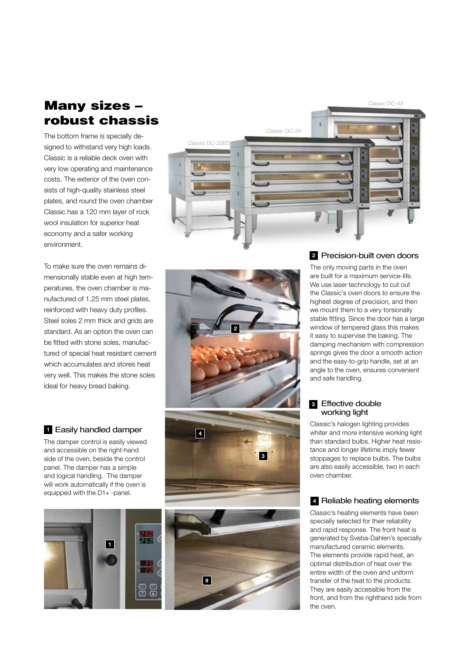### Many sizes – robust chassis

The bottom frame is specially designed to withstand very high loads. Classic is a reliable deck oven with very low operating and maintenance costs. The exterior of the oven consists of high-quality stainless steel plates, and round the oven chamber Classic has a 120 mm layer of rock wool insulation for superior heat economy and a safer working environment.

To make sure the oven remains dimensionally stable even at high temperatures, the oven chamber is manufactured of 1.25 mm steel plates, reinforced with heavy duty profiles. Steel soles 2 mm thick and grids are standard. As an option the oven can be fitted with stone soles, manufactured of special heat resistant cement which accumulates and stores heat very well. This makes the stone soles ideal for heavy bread baking.

#### Easily handled damper **1**

The damper control is easily viewed and accessible on the right-hand side of the oven, beside the control panel. The damper has a simple and logical handling. The damper will work automatically if the oven is equipped with the D1+ -panel.





Classic DC-22ED

Classic DC-34

**9**



Classic DC-43

The only moving parts in the oven are built for a maximum service-life. We use laser technology to cut out the Classic's oven doors to ensure the highest degree of precision, and then we mount them to a very torsionally stable fitting. Since the door has a large window of tempered glass this makes it easy to supervise the baking. The damping mechanism with compression springs gives the door a smooth action and the easy-to-grip handle, set at an angle to the oven, ensures convenient and safe handling.

#### Effective double **3** working light

Classic's halogen lighting provides whiter and more intensive working light than standard bulbs. Higher heat resistance and longer lifetime imply fewer stoppages to replace bulbs. The bulbs are also easily accessible, two in each oven chamber.

#### Reliable heating elements **4**

Classic's heating elements have been specially selected for their reliability and rapid response. The front heat is generated by Sveba-Dahlen's specially manufactured ceramic elements. The elements provide rapid heat, an optimal distribution of heat over the entire width of the oven and uniform transfer of the heat to the products. They are easily accessible from the front, and from the righthand side from the oven.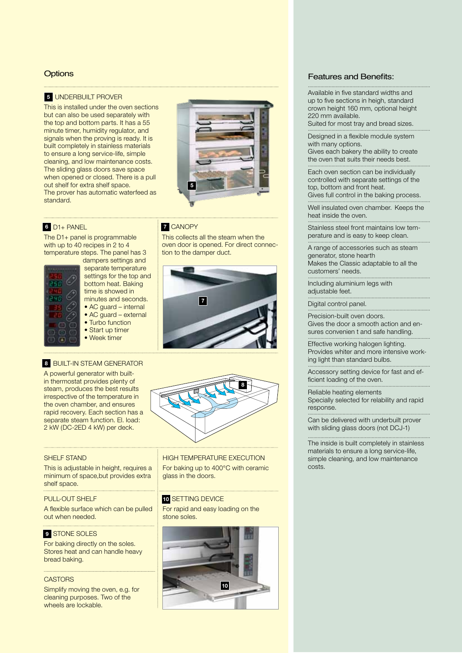#### **Options**

#### **5** UNDERBUILT PROVE

This is installed under the oven sections but can also be used separately with the top and bottom parts. It has a 55 minute timer, humidity regulator, and signals when the proving is ready. It is built completely in stainless materials to ensure a long service-life, simple cleaning, and low maintenance costs. The sliding glass doors save space when opened or closed. There is a pull out shelf for extra shelf space. The prover has automatic waterfeed as standard.



This collects all the steam when the oven door is opened. For direct connec-

tion to the damper duct.

**7**

**7 CANOPY** 

#### D1+ panel **6 7**

The D1+ panel is programmable with up to 40 recipes in 2 to 4 temperature steps. The panel has 3



dampers settings and separate temperature settings for the top and bottom heat. Baking time is showed in minutes and seconds. • AC quard – internal • AC guard – external

- Start up timer
- Week timer

#### • Turbo function

#### 8 **BUILT-IN STEAM GENERATOR**

A powerful generator with builtin thermostat provides plenty of steam, produces the best results irrespective of the temperature in the oven chamber, and ensures rapid recovery. Each section has a separate steam function. El. load: 2 kW (DC-2ED 4 kW) per deck.



#### SHELF STAND

This is adjustable in height, requires a minimum of space,but provides extra shelf space.

#### PULL-OUT SHELF

A flexible surface which can be pulled out when needed.

#### **9** STONE SOLE

For baking directly on the soles. Stores heat and can handle heavy bread baking.

#### **CASTORS**

Simplify moving the oven, e.g. for cleaning purposes. Two of the wheels are lockable.

high temperature execution For baking up to 400°C with ceramic glass in the doors.

#### 10 SETTING DEVIC

For rapid and easy loading on the stone soles.



#### Features and Benefits:

Available in five standard widths and up to five sections in heigh, standard crown height 160 mm, optional height 220 mm available.

........................................................................................

Suited for most tray and bread sizes. ........................................................................................

Designed in a flexible module system with many options.

Gives each bakery the ability to create the oven that suits their needs best. ........................................................................................

Each oven section can be individually controlled with separate settings of the top, bottom and front heat. Gives full control in the baking process.

Well insulated oven chamber. Keeps the

heat inside the oven. ........................................................................................

Stainless steel front maintains low temperature and is easy to keep clean. ........................................................................................

A range of accessories such as steam generator, stone hearth Makes the Classic adaptable to all the customers' needs.

........................................................................................ Including aluminium legs with adjustable feet.

Digital control panel. ........................................................................................

Precision-built oven doors. Gives the door a smooth action and ensures convenien t and safe handling. ........................................................................................

........................................................................................

Effective working halogen lighting. Provides whiter and more intensive working light than standard bulbs. ........................................................................................

Accessory setting device for fast and efficient loading of the oven. ........................................................................................

Reliable heating elements Specially selected for relability and rapid response. ........................................................................................

Can be delivered with underbuilt prover with sliding glass doors (not DCJ-1) ........................................................................................

The inside is built completely in stainless materials to ensure a long service-life, simple cleaning, and low maintenance costs.